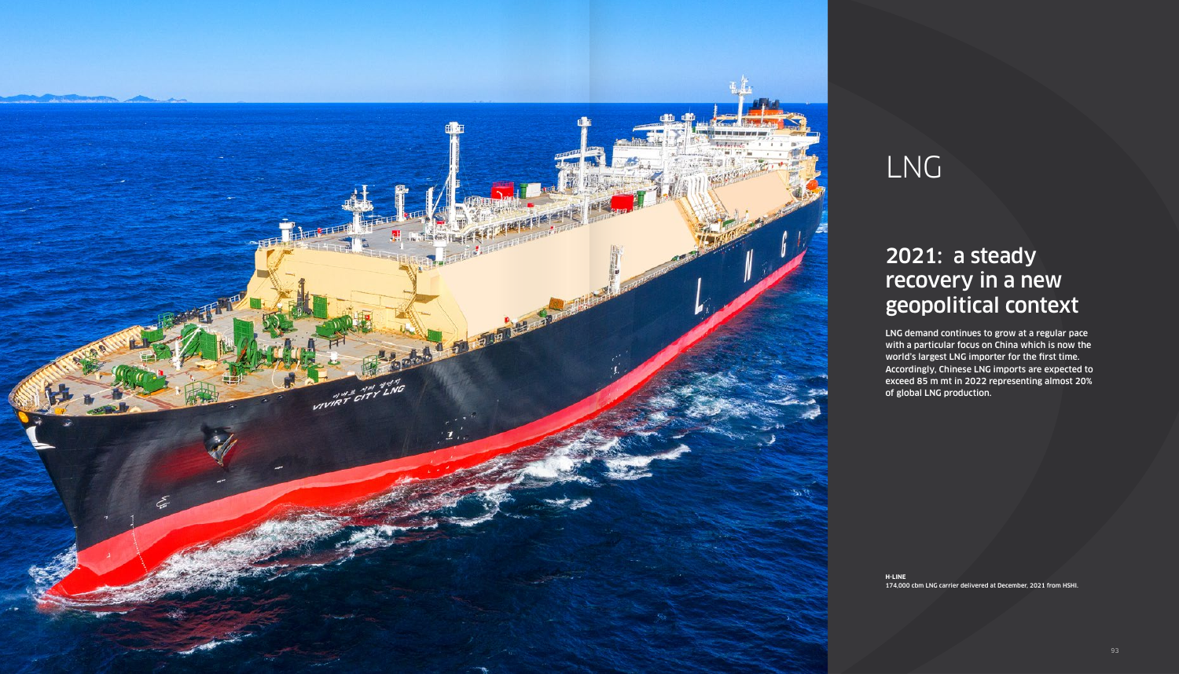

# LNG

## 2021: a steady recovery in a new geopolitical context

LNG demand continues to grow at a regular pace with a particular focus on China which is now the world's largest LNG importer for the first time. Accordingly, Chinese LNG imports are expected to exceed 85 m mt in 2022 representing almost 20% of global LNG production.

**H-LINE** 174,000 cbm LNG carrier delivered at December, 2021 from HSHI.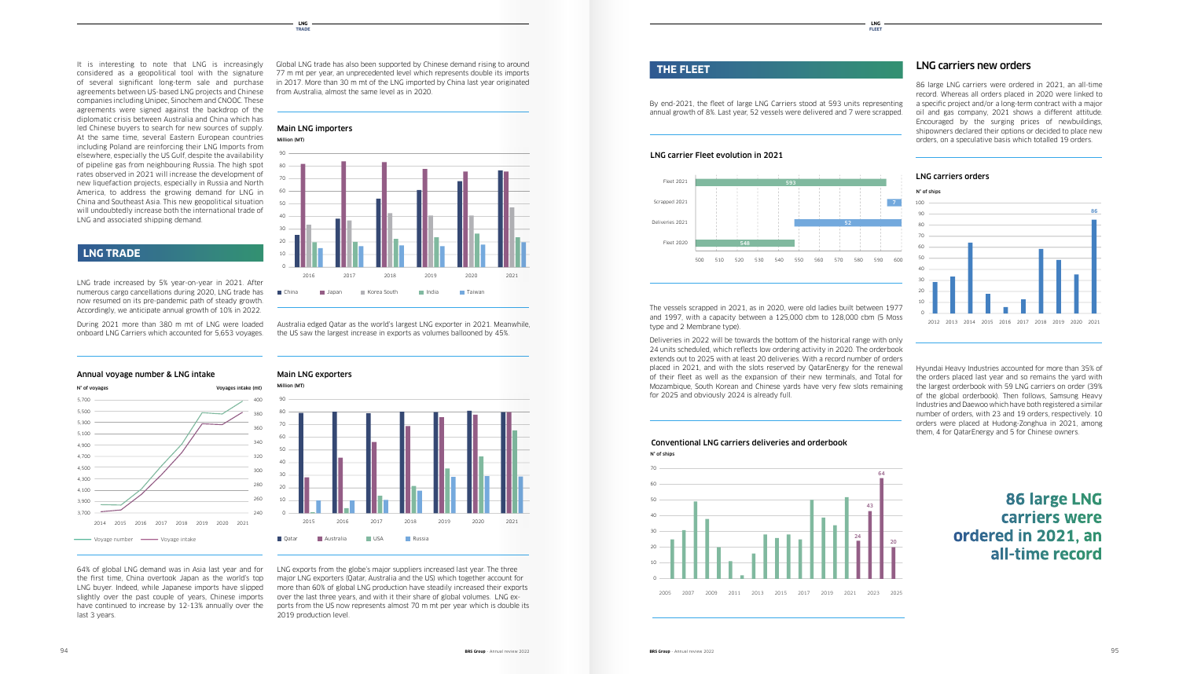### LNG carriers new orders

86 large LNG carriers were ordered in 2021, an all-time record. Whereas all orders placed in 2020 were linked to a specific project and/or a long-term contract with a major oil and gas company, 2021 shows a different attitude. Encouraged by the surging prices of newbuildings, shipowners declared their options or decided to place new orders, on a speculative basis which totalled 19 orders.

Australia edged Qatar as the world's largest LNG exporter in 2021. Meanwhile, 32 0 the US saw the largest increase in exports as volumes ballooned by 45%.

The vessels scrapped in 2021, as in 2020, were old ladies built between 1977 and 1997, with a capacity between a  $125,000$  cbm to  $128,000$  cbm (5 Moss

> Hyundai Heavy Industries accounted for more than 35% of the orders placed last year and so remains the yard with the largest orderbook with 59 LNG carriers on order (39% **Annual voyage number & intake** of the global orderbook). Then follows, Samsung Heavy Industries and Daewoo which have both registered a similar number of orders, with 23 and 19 orders, respectively. 10 orders were placed at Hudong-Zonghua in 2021, among them, 4 for QatarEnergy and 5 for Chinese owners.

Global LNG trade has also been supported by Chinese demand rising to around 77 m mt per year, an unprecedented level which represents double its imports in 2017. More than 30 m mt of the LNG imported by China last year originated from Australia, almost the same level as in 2020.

LNG exports from the globe's major suppliers increased last year. The three major LNG exporters (Qatar, Australia and the US) which together account for 0 more than 60% of global LNG production have steadily increased their exports over the last three years, and with it their share of global volumes. LNG exports from the US now represents almost 70 m mt per year which is double its 2019 production level. 16 21 22 23 24 25 26 27 28 29 20 21 22 23 24 25 26 27 28 29 20 21 22 23 24 25 26 27 28 29 29 29 29 20 21 22

#### By end-2021, the fleet of large LNG Carriers stood at 593 units representing annual growth of 8%. Last year, 52 vessels were delivered and 7 were scrapped.



It is interesting to note that LNG is increasingly considered as a geopolitical tool with the signature of several significant long-term sale and purchase agreements between US-based LNG projects and Chinese companies including Unipec, Sinochem and CNOOC. These agreements were signed against the backdrop of the diplomatic crisis between Australia and China which has led Chinese buyers to search for new sources of supply. At the same time, several Eastern European countries including Poland are reinforcing their LNG Imports from elsewhere, especially the US Gulf, despite the availability of pipeline gas from neighbouring Russia. The high spot rates observed in 2021 will increase the development of new liquefaction projects, especially in Russia and North 250 America, to address the growing demand for LNG in China and Southeast Asia. This new geopolitical situation will undoubtedly increase both the international trade of LNG and associated shipping demand.

#### **LNG TRADE**

type and 2 Membrane type).

Deliveries in 2022 will be towards the bottom of the historical range with only 24 units scheduled, which reflects low ordering activity in 2020. The orderbook 43,1 extends out to 2025 with at least 20 deliveries. With a record number of orders placed in 2021, and with the slots reserved by QatarEnergy for the renewal of their fleet as well as the expansion of their new terminals, and Total for Mozambique, South Korean and Chinese yards have very few slots remaining for 2025 and obviously 2024 is already full.

**LNG FLEET**

#### **LNG TRADE**

LNG trade increased by 5% year-on-year in 2021. After none, our cargo cancentations doining 2020, 200 trade has Accordingly, we anticipate annual growth of 10% in 2022. numerous cargo cancellations during 2020, LNG trade has

onboard LNG Carriers which accounted for 5,653 voyages. During 2021 more than 380 m mt of LNG were loaded

#### **THE FLEET**



#### **Main LNG exporters**



64% of global LNG demand was in Asia last year and for the first time, China overtook Japan as the world's top LNG buyer. Indeed, while Japanese imports have slipped slightly over the past couple of years, Chinese imports have continued to increase by 12-13% annually over the last 3 years.

Main LNG importers (MT)

Main LNG exporters (MT)

80

**Annual voyage number & intake**

**LNG carrier Fleet evolution in 2020**







#### LNG carrier Fleet evolution in 2021







## Conventional LNG carriers deliveries and orderbook

#### LNG carriers orders



#### 240,000,000 72 I carriers were **86 large LNG ordered in 2021, an** Voyage Number Voyage Intake **all-time record**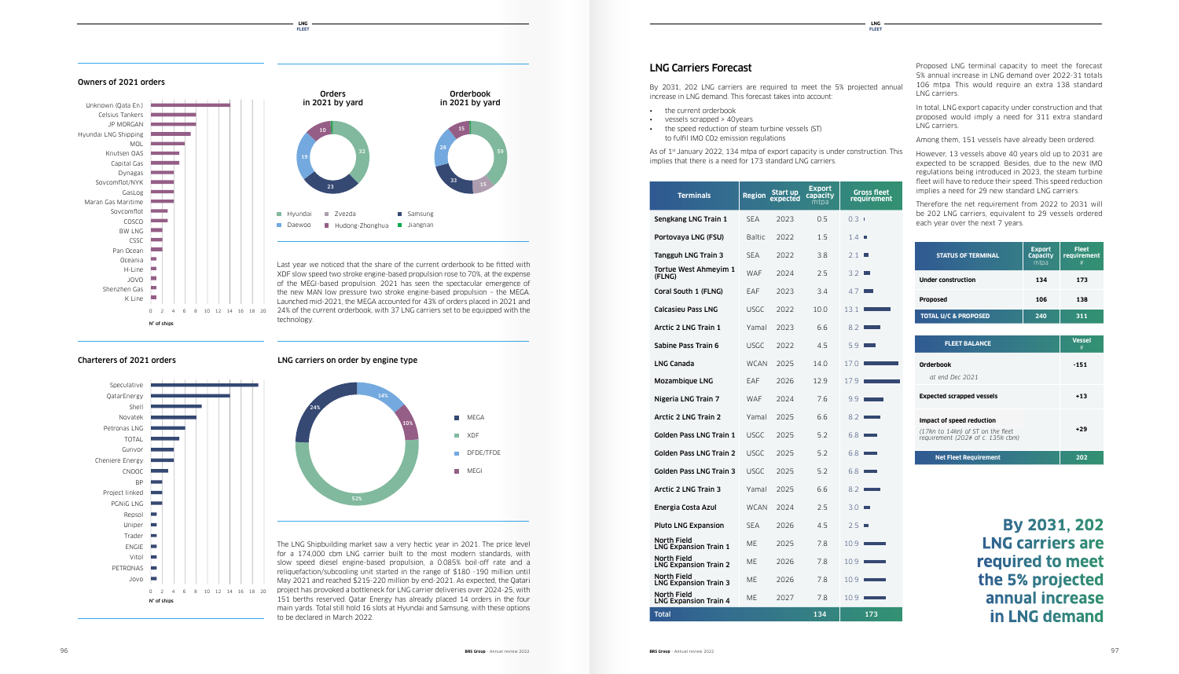Proposed LNG terminal capacity to meet the forecast 5% annual increase in LNG demand over 2022-31 totals 106 mtpa. This would require an extra 138 standard LNG carriers.

In total, LNG export capacity under construction and that proposed would imply a need for 311 extra standard LNG carriers.

Therefore the net requirement from 2022 to 2031 will be 202 LNG carriers, equivalent to 29 vessels ordered each year over the next 7 years.

Among them, 151 vessels have already been ordered.

However, 13 vessels above 40 years old up to 2031 are expected to be scrapped. Besides, due to the new IMO regulations being introduced in 2023, the steam turbine fleet will have to reduce their speed. This speed reduction implies a need for 29 new standard LNG carriers.

#### LNG Carriers Forecast

By 2031, 202 LNG carriers are required to meet the 5% projected annual increase in LNG demand. This forecast takes into account:

- the current orderbook
- vessels scrapped > 40years
- the speed reduction of steam turbine vessels (ST) to fulfil IMO CO2 emission regulations

implies that there is a need for 173 standard LNG carriers.

#### **LNG FLEET**

As of 1<sup>st</sup> January 2022, 134 mtpa of export capacity is under construction. This

#### **LNG FLEET**

Last year we noticed that the share of the current orderbook to be fitted with XDF slow speed two stroke engine-based propulsion rose to 70%, at the expense of the MEGI-based propulsion. 2021 has seen the spectacular emergence of the new MAN low pressure two stroke engine-based propulsion – the MEGA. Launched mid-2021, the MEGA accounted for 43% of orders placed in 2021 and 24% of the current orderbook, with 37 LNG carriers set to be equipped with the technology.

LNG carriers on order by engine type

The LNG Shipbuilding market saw a very hectic year in 2021. The price level for a 174,000 cbm LNG carrier built to the most modern standards, with slow speed diesel engine-based propulsion, a 0.085% boil-off rate and a reliquefaction/subcooling unit started in the range of \$180 -190 million until May 2021 and reached \$215-220 million by end-2021. As expected, the Qatari project has provoked a bottleneck for LNG carrier deliveries over 2024-25, with 151 berths reserved. Qatar Energy has already placed 14 orders in the four main yards. Total still hold 16 slots at Hyundai and Samsung, with these options to be declared in March 2022.

| <b>Terminals</b>                                   | <b>Region</b> | Start up<br>expected | Export<br>capacity<br>mtpa | <b>Gross fleet</b><br>requirement |
|----------------------------------------------------|---------------|----------------------|----------------------------|-----------------------------------|
| Sengkang LNG Train 1                               | <b>SEA</b>    | 2023                 | 0.5                        | $0.3-1$                           |
| Portovaya LNG (FSU)                                | <b>Baltic</b> | 2022                 | 1.5                        | 1.4                               |
| Tangguh LNG Train 3                                | <b>SEA</b>    | 2022                 | 3.8                        | 2.1<br>L.                         |
| Tortue West Ahmeyim 1<br>(FLNG)                    | WAF           | 2024                 | 2.5                        | 3.2<br><b>College</b>             |
| Coral South 1 (FLNG)                               | EAF           | 2023                 | 3.4                        | 4.7                               |
| <b>Calcasieu Pass LNG</b>                          | <b>USGC</b>   | 2022                 | 10.0                       | 13.1                              |
| <b>Arctic 2 LNG Train 1</b>                        | Yamal         | 2023                 | 6.6                        | 8.2                               |
| Sabine Pass Train 6                                | <b>USGC</b>   | 2022                 | 4.5                        | 5.9                               |
| <b>LNG Canada</b>                                  | WCAN          | 2025                 | 14.0                       | 17.0                              |
| Mozambique LNG                                     | EAF           | 2026                 | 12.9                       | 17.9                              |
| Nigeria LNG Train 7                                | <b>WAF</b>    | 2024                 | 7.6                        | 9.9                               |
| <b>Arctic 2 LNG Train 2</b>                        | Yamal         | 2025                 | 6.6                        | 8.2                               |
| <b>Golden Pass LNG Train 1</b>                     | USGC          | 2025                 | 5.2                        | 6.8                               |
| Golden Pass LNG Train 2                            | <b>USGC</b>   | 2025                 | 5.2                        | $6.8$ $\overline{\phantom{0}}$    |
| <b>Golden Pass LNG Train 3</b>                     | <b>USGC</b>   | 2025                 | 5.2                        | 6.8                               |
| <b>Arctic 2 LNG Train 3</b>                        | Yamal         | 2025                 | 6.6                        | 8.2                               |
| Energia Costa Azul                                 | <b>WCAN</b>   | 2024                 | 2.5                        | 3.0                               |
| <b>Pluto LNG Expansion</b>                         | <b>SEA</b>    | 2026                 | 4.5                        | 2.5<br>Ш                          |
| North Field<br><b>LNG Expansion Train 1</b>        | МE            | 2025                 | 7.8                        | 10.9                              |
| North Field<br><b>LNG Expansion Train 2</b>        | МE            | 2026                 | 7.8                        | 10.9                              |
| North Field<br><b>LNG Expansion Train 3</b>        | МE            | 2026                 | 7.8                        | 10.9                              |
| <b>North Field</b><br><b>LNG Expansion Train 4</b> | МE            | 2027                 | 7.8                        | 10.9                              |
| <b>Total</b>                                       |               |                      | 134                        | 173                               |



#### Owners of 2021 orders **Owners 2021 orders**

#### Charterers of 2021 orders Speculative **Charterers 2021 orders**

| <b>STATUS OF TERMINAL</b>       | <b>Export</b><br><b>Capacity</b><br>mtpa | <b>Fleet</b><br>requirement<br># |
|---------------------------------|------------------------------------------|----------------------------------|
| <b>Under construction</b>       | 134                                      | 173                              |
| <b>Proposed</b>                 | 106                                      | 138                              |
| <b>TOTAL U/C &amp; PROPOSED</b> | 240                                      | 311                              |

| <b>FLEET BALANCE</b>                                                                                | <b>Vessel</b><br># |
|-----------------------------------------------------------------------------------------------------|--------------------|
| Orderbook<br>at end Dec 2021                                                                        | -151               |
| <b>Expected scrapped vessels</b>                                                                    | +13                |
| Impact of speed reduction<br>(17kn to 14kn) of ST on the fleet<br>requirement (202# of c. 135k cbm) | $+29$              |
| <b>Net Fleet Requirement</b>                                                                        | 202                |

**By 2031, 202 LNG carriers are required to meet the 5% projected annual increase in LNG demand**

**Owners 2021 orders**